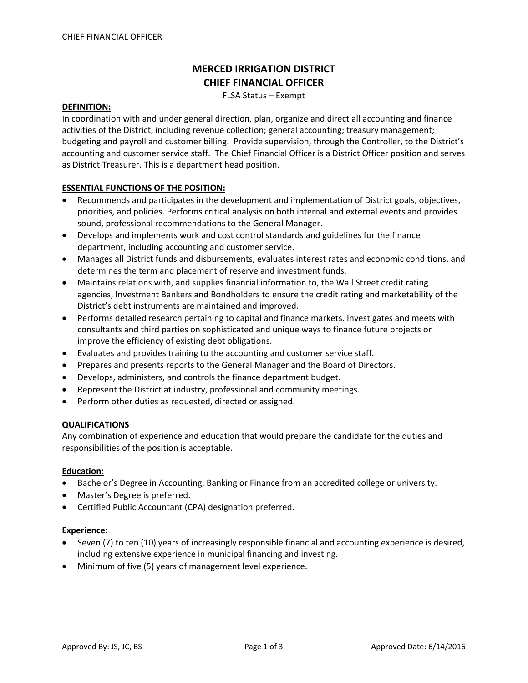# **MERCED IRRIGATION DISTRICT CHIEF FINANCIAL OFFICER**

FLSA Status – Exempt

#### **DEFINITION:**

In coordination with and under general direction, plan, organize and direct all accounting and finance activities of the District, including revenue collection; general accounting; treasury management; budgeting and payroll and customer billing. Provide supervision, through the Controller, to the District's accounting and customer service staff. The Chief Financial Officer is a District Officer position and serves as District Treasurer. This is a department head position.

## **ESSENTIAL FUNCTIONS OF THE POSITION:**

- Recommends and participates in the development and implementation of District goals, objectives, priorities, and policies. Performs critical analysis on both internal and external events and provides sound, professional recommendations to the General Manager.
- Develops and implements work and cost control standards and guidelines for the finance department, including accounting and customer service.
- Manages all District funds and disbursements, evaluates interest rates and economic conditions, and determines the term and placement of reserve and investment funds.
- Maintains relations with, and supplies financial information to, the Wall Street credit rating agencies, Investment Bankers and Bondholders to ensure the credit rating and marketability of the District's debt instruments are maintained and improved.
- Performs detailed research pertaining to capital and finance markets. Investigates and meets with consultants and third parties on sophisticated and unique ways to finance future projects or improve the efficiency of existing debt obligations.
- Evaluates and provides training to the accounting and customer service staff.
- Prepares and presents reports to the General Manager and the Board of Directors.
- Develops, administers, and controls the finance department budget.
- Represent the District at industry, professional and community meetings.
- Perform other duties as requested, directed or assigned.

## **QUALIFICATIONS**

Any combination of experience and education that would prepare the candidate for the duties and responsibilities of the position is acceptable.

#### **Education:**

- Bachelor's Degree in Accounting, Banking or Finance from an accredited college or university.
- Master's Degree is preferred.
- Certified Public Accountant (CPA) designation preferred.

#### **Experience:**

- Seven (7) to ten (10) years of increasingly responsible financial and accounting experience is desired, including extensive experience in municipal financing and investing.
- Minimum of five (5) years of management level experience.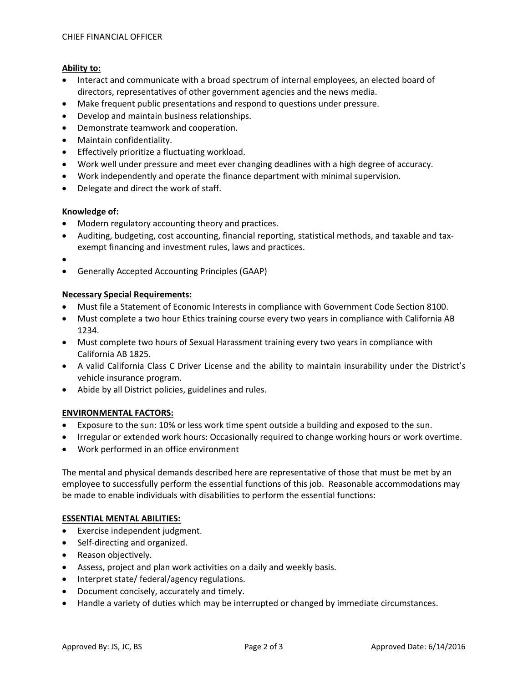## **Ability to:**

- Interact and communicate with a broad spectrum of internal employees, an elected board of directors, representatives of other government agencies and the news media.
- Make frequent public presentations and respond to questions under pressure.
- Develop and maintain business relationships.
- Demonstrate teamwork and cooperation.
- Maintain confidentiality.
- Effectively prioritize a fluctuating workload.
- Work well under pressure and meet ever changing deadlines with a high degree of accuracy.
- Work independently and operate the finance department with minimal supervision.
- Delegate and direct the work of staff.

## **Knowledge of:**

- Modern regulatory accounting theory and practices.
- Auditing, budgeting, cost accounting, financial reporting, statistical methods, and taxable and taxexempt financing and investment rules, laws and practices.
- •
- Generally Accepted Accounting Principles (GAAP)

## **Necessary Special Requirements:**

- Must file a Statement of Economic Interests in compliance with Government Code Section 8100.
- Must complete a two hour Ethics training course every two years in compliance with California AB 1234.
- Must complete two hours of Sexual Harassment training every two years in compliance with California AB 1825.
- A valid California Class C Driver License and the ability to maintain insurability under the District's vehicle insurance program.
- Abide by all District policies, guidelines and rules.

# **ENVIRONMENTAL FACTORS:**

- Exposure to the sun: 10% or less work time spent outside a building and exposed to the sun.
- Irregular or extended work hours: Occasionally required to change working hours or work overtime.
- Work performed in an office environment

The mental and physical demands described here are representative of those that must be met by an employee to successfully perform the essential functions of this job. Reasonable accommodations may be made to enable individuals with disabilities to perform the essential functions:

# **ESSENTIAL MENTAL ABILITIES:**

- Exercise independent judgment.
- Self-directing and organized.
- Reason objectively.
- Assess, project and plan work activities on a daily and weekly basis.
- Interpret state/ federal/agency regulations.
- Document concisely, accurately and timely.
- Handle a variety of duties which may be interrupted or changed by immediate circumstances.